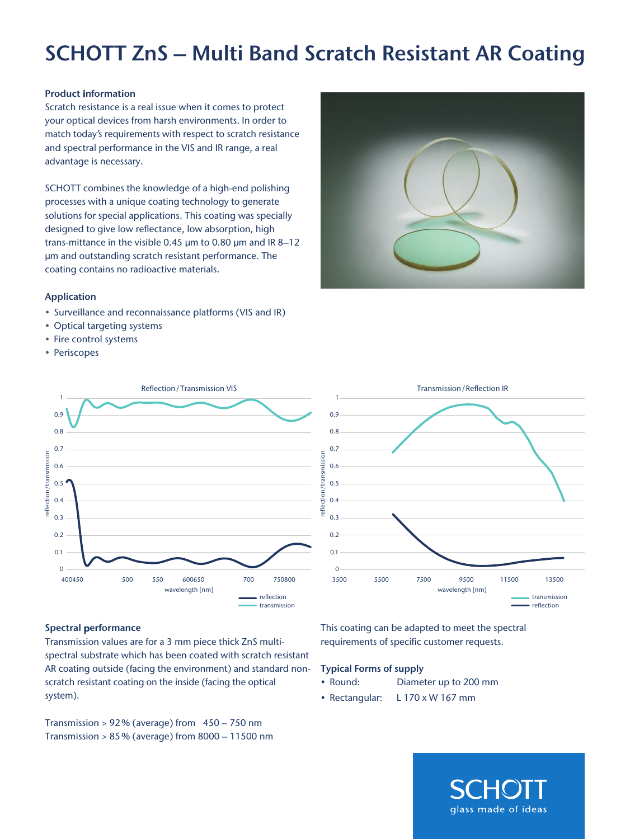# SCHOTT ZnS – Multi Band Scratch Resistant AR Coating

#### Product information

Scratch resistance is a real issue when it comes to protect your optical devices from harsh environments. In order to match today's requirements with respect to scratch resistance and spectral performance in the VIS and IR range, a real advantage is necessary.

SCHOTT combines the knowledge of a high-end polishing processes with a unique coating technology to generate solutions for special applications. This coating was specially designed to give low reflectance, low absorption, high trans-mittance in the visible 0.45 µm to 0.80 µm and IR 8–12 µm and outstanding scratch resistant performance. The coating contains no radioactive materials.

### Application

- Surveillance and reconnaissance platforms (VIS and IR)
- Optical targeting systems
- Fire control systems
- Periscopes





#### Spectral performance

Transmission values are for a 3 mm piece thick ZnS multispectral substrate which has been coated with scratch resistant AR coating outside (facing the environment) and standard nonscratch resistant coating on the inside (facing the optical system).

Transmission > 92% (average) from 450 – 750 nm Transmission > 85% (average) from 8000 – 11500 nm This coating can be adapted to meet the spectral requirements of specific customer requests.

# Typical Forms of supply

- Round: Diameter up to 200 mm
- Rectangular: L 170 x W 167 mm

glass made of ideas